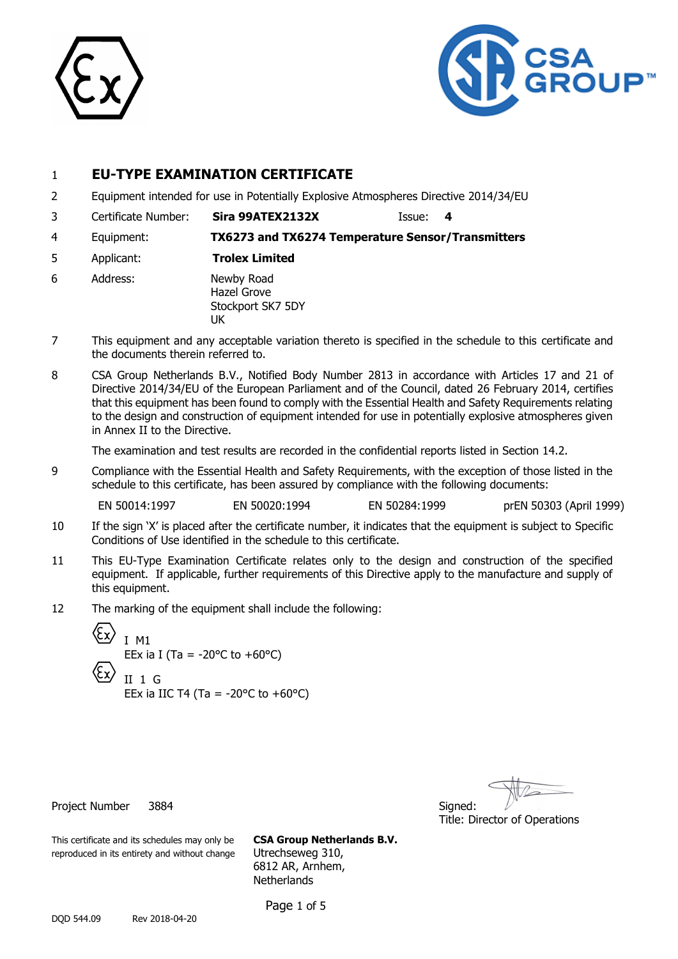



### 1 **EU-TYPE EXAMINATION CERTIFICATE**

- 2 Equipment intended for use in Potentially Explosive Atmospheres Directive 2014/34/EU
- 3 Certificate Number: **Sira 99ATEX2132X** Issue: **4**

4 Equipment: **TX6273 and TX6274 Temperature Sensor/Transmitters**

- 5 Applicant: **Trolex Limited**
- 6 Address: Newby Road Hazel Grove Stockport SK7 5DY UK
- 7 This equipment and any acceptable variation thereto is specified in the schedule to this certificate and the documents therein referred to.
- 8 CSA Group Netherlands B.V., Notified Body Number 2813 in accordance with Articles 17 and 21 of Directive 2014/34/EU of the European Parliament and of the Council, dated 26 February 2014, certifies that this equipment has been found to comply with the Essential Health and Safety Requirements relating to the design and construction of equipment intended for use in potentially explosive atmospheres given in Annex II to the Directive.

The examination and test results are recorded in the confidential reports listed in Section 14.2.

9 Compliance with the Essential Health and Safety Requirements, with the exception of those listed in the schedule to this certificate, has been assured by compliance with the following documents:

EN 50014:1997 EN 50020:1994 EN 50284:1999 prEN 50303 (April 1999)

- 10 If the sign 'X' is placed after the certificate number, it indicates that the equipment is subject to Specific Conditions of Use identified in the schedule to this certificate.
- 11 This EU-Type Examination Certificate relates only to the design and construction of the specified equipment. If applicable, further requirements of this Directive apply to the manufacture and supply of this equipment.
- 12 The marking of the equipment shall include the following:

$$
\begin{array}{ll}\n\text{(Ex)} & \text{I} \text{ M1} \\
\text{EEx in I (Ta = -20°C to +60°C)} \\
\text{(Ex)} & \text{II} \text{ 1 G} \\
\text{EEx in IIC T4 (Ta = -20°C to +60°C)}\n\end{array}
$$

Title: Director of Operations

Project Number 3884 Signed:

This certificate and its schedules may only be **CSA Group Netherlands B.V.** reproduced in its entirety and without change Utrechseweg 310,

6812 AR, Arnhem, **Netherlands** 

Page 1 of 5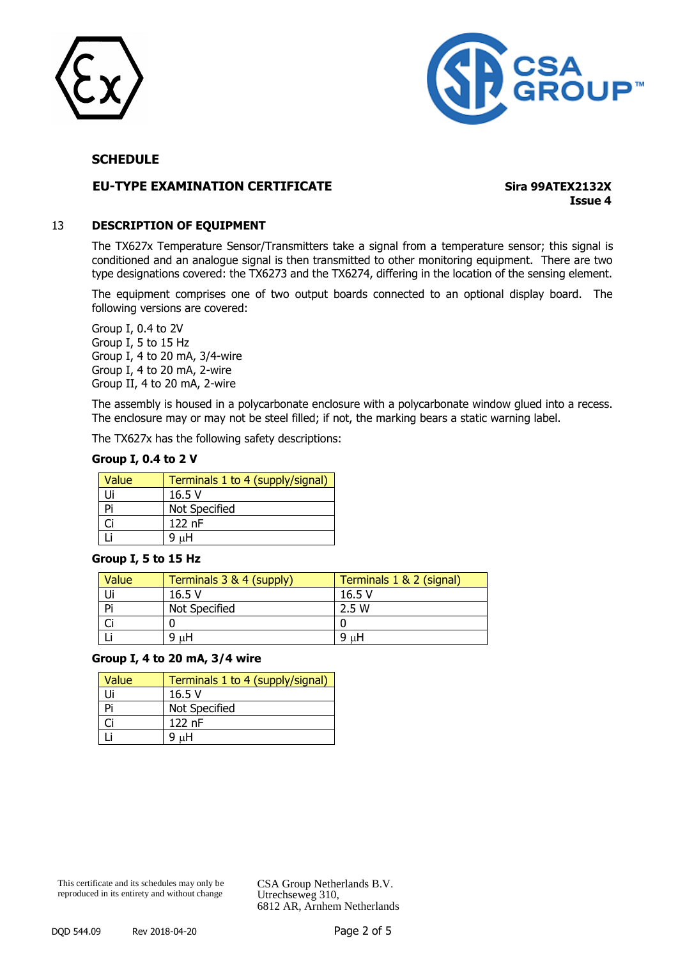



#### **EU-TYPE EXAMINATION CERTIFICATE Sira 99ATEX2132X**

**Issue 4**

#### 13 **DESCRIPTION OF EQUIPMENT**

The TX627x Temperature Sensor/Transmitters take a signal from a temperature sensor; this signal is conditioned and an analogue signal is then transmitted to other monitoring equipment. There are two type designations covered: the TX6273 and the TX6274, differing in the location of the sensing element.

The equipment comprises one of two output boards connected to an optional display board. The following versions are covered:

Group I, 0.4 to 2V Group I, 5 to 15 Hz Group I, 4 to 20 mA, 3/4-wire Group I, 4 to 20 mA, 2-wire Group II, 4 to 20 mA, 2-wire

The assembly is housed in a polycarbonate enclosure with a polycarbonate window glued into a recess. The enclosure may or may not be steel filled; if not, the marking bears a static warning label.

The TX627x has the following safety descriptions:

| Group I, 0.4 to 2 V |  |  |  |  |  |
|---------------------|--|--|--|--|--|
|---------------------|--|--|--|--|--|

| Value | Terminals 1 to 4 (supply/signal) |
|-------|----------------------------------|
| Ui    | 16.5V                            |
| Pi    | Not Specified                    |
| Ωi    | $122$ nF                         |
|       | пH                               |

#### **Group I, 5 to 15 Hz**

| Value | Terminals 3 & 4 (supply) | Terminals 1 & 2 (signal) |
|-------|--------------------------|--------------------------|
|       | 16.5V                    | 16.5 V                   |
| Pi    | Not Specified            | 2.5 W                    |
|       |                          |                          |
|       | μH<br>9                  | μH<br>9                  |

#### **Group I, 4 to 20 mA, 3/4 wire**

| Value | Terminals 1 to 4 (supply/signal) |
|-------|----------------------------------|
| Ji    | 16.5V                            |
| Pi    | Not Specified                    |
|       | $122$ nF                         |
|       | μH                               |

This certificate and its schedules may only be reproduced in its entirety and without change

CSA Group Netherlands B.V. Utrechseweg 310, 6812 AR, Arnhem Netherlands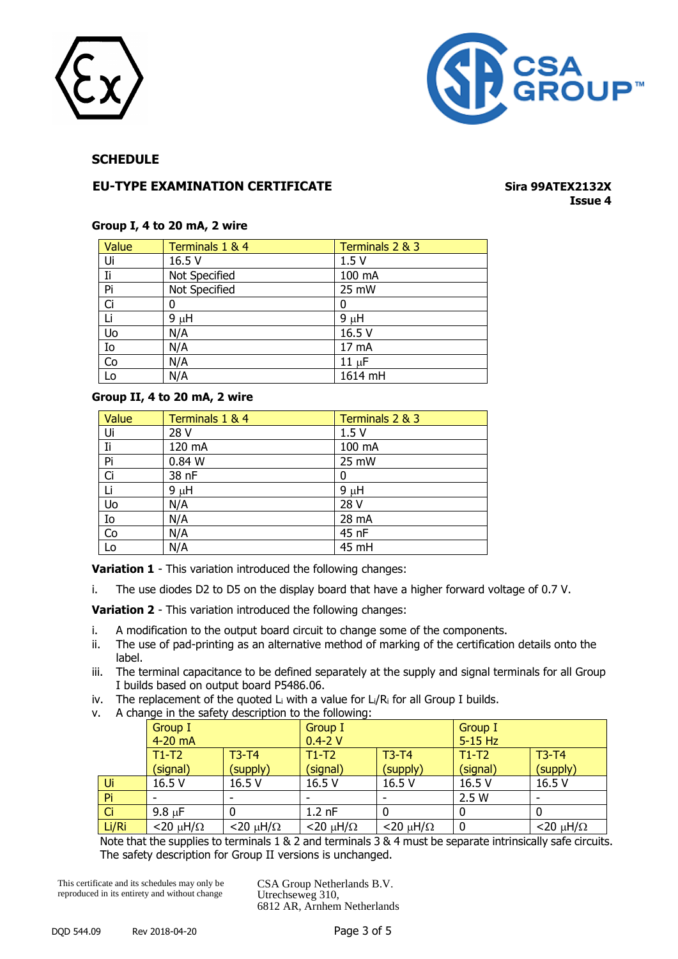



#### **EU-TYPE EXAMINATION CERTIFICATE Sira 99ATEX2132X**

## **Issue 4**

#### **Group I, 4 to 20 mA, 2 wire**

| Value          | Terminals 1 & 4 | Terminals 2 & 3 |
|----------------|-----------------|-----------------|
| Ui             | 16.5 V          | 1.5V            |
| Ii             | Not Specified   | 100 mA          |
| Pi             | Not Specified   | 25 mW           |
| Ci             | 0               | 0               |
| Li             | $9 \mu H$       | $9 \mu H$       |
| Uo             | N/A             | 16.5 V          |
| Io             | N/A             | 17 mA           |
| $\overline{C}$ | N/A             | $11 \mu F$      |
| Lo             | N/A             | 1614 mH         |

#### **Group II, 4 to 20 mA, 2 wire**

| Value                   | Terminals 1 & 4 | Terminals 2 & 3 |
|-------------------------|-----------------|-----------------|
| Ui                      | 28 V            | 1.5V            |
| Ii                      | 120 mA          | 100 mA          |
| Pi                      | 0.84 W          | 25 mW           |
| Ci                      | 38 nF           |                 |
| Li                      | $9 \mu H$       | $9 \mu H$       |
| $\overline{\mathsf{U}}$ | N/A             | 28 V            |
| Io                      | N/A             | 28 mA           |
| $\overline{C}$          | N/A             | 45 nF           |
| Lo                      | N/A             | 45 mH           |

**Variation 1** - This variation introduced the following changes:

i. The use diodes D2 to D5 on the display board that have a higher forward voltage of 0.7 V.

**Variation 2** - This variation introduced the following changes:

- i. A modification to the output board circuit to change some of the components.
- ii. The use of pad-printing as an alternative method of marking of the certification details onto the label.
- iii. The terminal capacitance to be defined separately at the supply and signal terminals for all Group I builds based on output board P5486.06.
- iv. The replacement of the quoted  $L_i$  with a value for  $L_i/R_i$  for all Group I builds.
- v. A change in the safety description to the following:

|           | Group I                  |                          | Group I                  |                          | Group I   |                          |
|-----------|--------------------------|--------------------------|--------------------------|--------------------------|-----------|--------------------------|
|           | $4-20$ mA                |                          | $0.4 - 2V$               |                          | $5-15$ Hz |                          |
|           | $T1-T2$                  | $T3-T4$                  | $T1-T2$                  | $T3-T4$                  | $T1-T2$   | $T3-T4$                  |
|           | (signal)                 | (supply)                 | (signal)                 | (supply)                 | (signal)  | (supply)                 |
| Ui        | 16.5 V                   | 16.5 V                   | 16.5 V                   | 16.5 V                   | 16.5 V    | 16.5 V                   |
| Pi        |                          |                          |                          |                          | 2.5W      | $\overline{\phantom{0}}$ |
| <b>Ci</b> | $9.8 \mu F$              |                          | $1.2$ nF                 |                          | 0         |                          |
| Li/Ri     | $<$ 20 $\mu$ H/ $\Omega$ | $<$ 20 $\mu$ H/ $\Omega$ | $<$ 20 $\mu$ H/ $\Omega$ | $<$ 20 $\mu$ H/ $\Omega$ | 0         | $<$ 20 $\mu$ H/ $\Omega$ |

Note that the supplies to terminals 1 & 2 and terminals 3 & 4 must be separate intrinsically safe circuits. The safety description for Group II versions is unchanged.

This certificate and its schedules may only be reproduced in its entirety and without change

CSA Group Netherlands B.V. Utrechseweg 310, 6812 AR, Arnhem Netherlands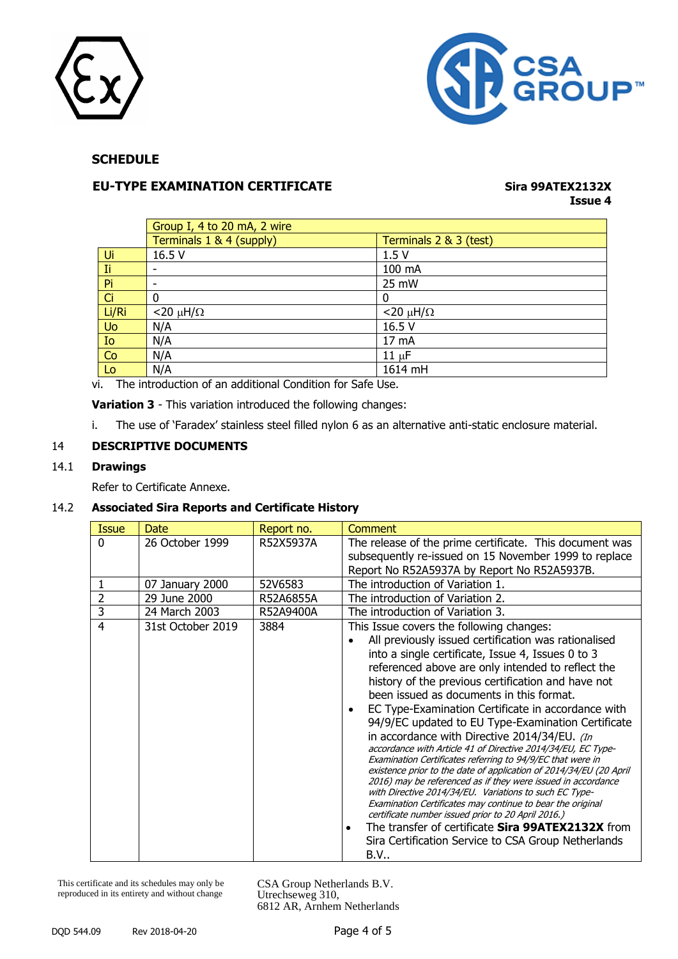



#### **EU-TYPE EXAMINATION CERTIFICATE Sira 99ATEX2132X**

# **Issue 4**

|       | Group I, 4 to 20 mA, 2 wire |                          |
|-------|-----------------------------|--------------------------|
|       | Terminals 1 & 4 (supply)    | Terminals 2 & 3 (test)   |
| Ui    | 16.5 V                      | 1.5V                     |
| Ti.   |                             | 100 mA                   |
| Pi    |                             | 25 mW                    |
| Ci    | 0                           | 0                        |
| Li/Ri | $<$ 20 $\mu$ H/ $\Omega$    | $<$ 20 $\mu$ H/ $\Omega$ |
| Uo    | N/A                         | 16.5 V                   |
| Io    | N/A                         | 17 mA                    |
| Co    | N/A                         | $11 \mu F$               |
| Lo    | N/A                         | 1614 mH                  |

vi. The introduction of an additional Condition for Safe Use.

**Variation 3** - This variation introduced the following changes:

i. The use of 'Faradex' stainless steel filled nylon 6 as an alternative anti-static enclosure material.

#### 14 **DESCRIPTIVE DOCUMENTS**

#### 14.1 **Drawings**

Refer to Certificate Annexe.

#### 14.2 **Associated Sira Reports and Certificate History**

| Issue    | Date              | Report no. | Comment                                                                                                                                                                                                                                                                                                                                                                                                                                                                                                                                                                                                                                                                                                                                                                                                                                                                                                                                                                                                                                                                 |
|----------|-------------------|------------|-------------------------------------------------------------------------------------------------------------------------------------------------------------------------------------------------------------------------------------------------------------------------------------------------------------------------------------------------------------------------------------------------------------------------------------------------------------------------------------------------------------------------------------------------------------------------------------------------------------------------------------------------------------------------------------------------------------------------------------------------------------------------------------------------------------------------------------------------------------------------------------------------------------------------------------------------------------------------------------------------------------------------------------------------------------------------|
| $\Omega$ | 26 October 1999   | R52X5937A  | The release of the prime certificate. This document was<br>subsequently re-issued on 15 November 1999 to replace<br>Report No R52A5937A by Report No R52A5937B.                                                                                                                                                                                                                                                                                                                                                                                                                                                                                                                                                                                                                                                                                                                                                                                                                                                                                                         |
|          | 07 January 2000   | 52V6583    | The introduction of Variation 1.                                                                                                                                                                                                                                                                                                                                                                                                                                                                                                                                                                                                                                                                                                                                                                                                                                                                                                                                                                                                                                        |
| 2        | 29 June 2000      | R52A6855A  | The introduction of Variation 2.                                                                                                                                                                                                                                                                                                                                                                                                                                                                                                                                                                                                                                                                                                                                                                                                                                                                                                                                                                                                                                        |
| 3        | 24 March 2003     | R52A9400A  | The introduction of Variation 3.                                                                                                                                                                                                                                                                                                                                                                                                                                                                                                                                                                                                                                                                                                                                                                                                                                                                                                                                                                                                                                        |
| 4        | 31st October 2019 | 3884       | This Issue covers the following changes:<br>All previously issued certification was rationalised<br>into a single certificate, Issue 4, Issues 0 to 3<br>referenced above are only intended to reflect the<br>history of the previous certification and have not<br>been issued as documents in this format.<br>EC Type-Examination Certificate in accordance with<br>$\bullet$<br>94/9/EC updated to EU Type-Examination Certificate<br>in accordance with Directive 2014/34/EU. (In<br>accordance with Article 41 of Directive 2014/34/EU, EC Type-<br>Examination Certificates referring to 94/9/EC that were in<br>existence prior to the date of application of 2014/34/EU (20 April<br>2016) may be referenced as if they were issued in accordance<br>with Directive 2014/34/EU. Variations to such EC Type-<br>Examination Certificates may continue to bear the original<br>certificate number issued prior to 20 April 2016.)<br>The transfer of certificate Sira 99ATEX2132X from<br>$\bullet$<br>Sira Certification Service to CSA Group Netherlands<br>B.V |

This certificate and its schedules may only be reproduced in its entirety and without change

CSA Group Netherlands B.V. Utrechseweg 310, 6812 AR, Arnhem Netherlands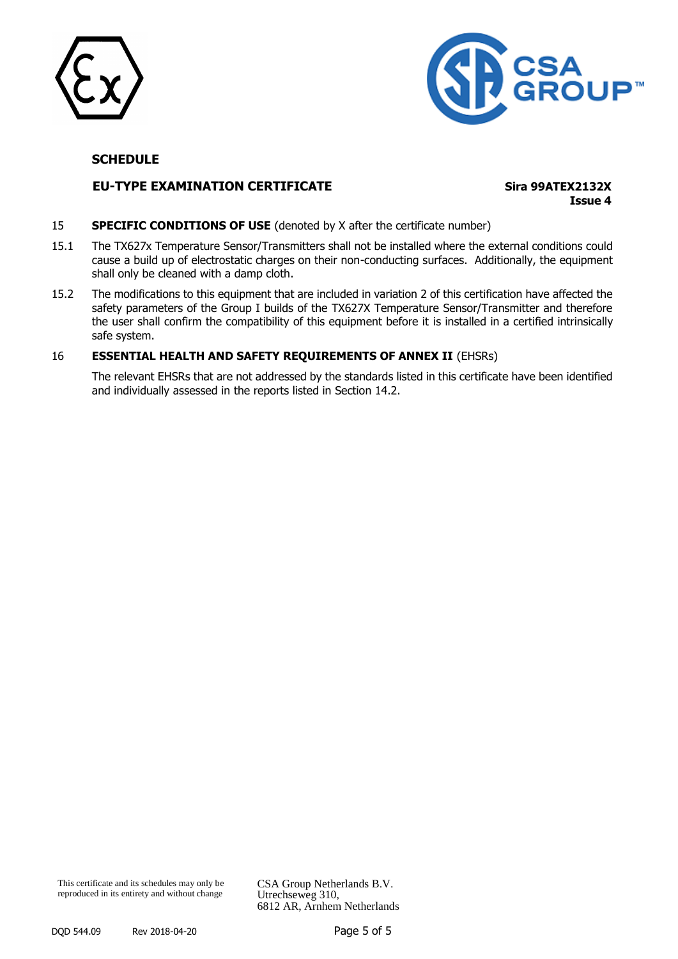



#### **EU-TYPE EXAMINATION CERTIFICATE Sira 99ATEX2132X**

**Issue 4**

#### **SPECIFIC CONDITIONS OF USE** (denoted by X after the certificate number)

- 15.1 The TX627x Temperature Sensor/Transmitters shall not be installed where the external conditions could cause a build up of electrostatic charges on their non-conducting surfaces. Additionally, the equipment shall only be cleaned with a damp cloth.
- 15.2 The modifications to this equipment that are included in variation 2 of this certification have affected the safety parameters of the Group I builds of the TX627X Temperature Sensor/Transmitter and therefore the user shall confirm the compatibility of this equipment before it is installed in a certified intrinsically safe system.

#### 16 **ESSENTIAL HEALTH AND SAFETY REQUIREMENTS OF ANNEX II** (EHSRs)

The relevant EHSRs that are not addressed by the standards listed in this certificate have been identified and individually assessed in the reports listed in Section 14.2.